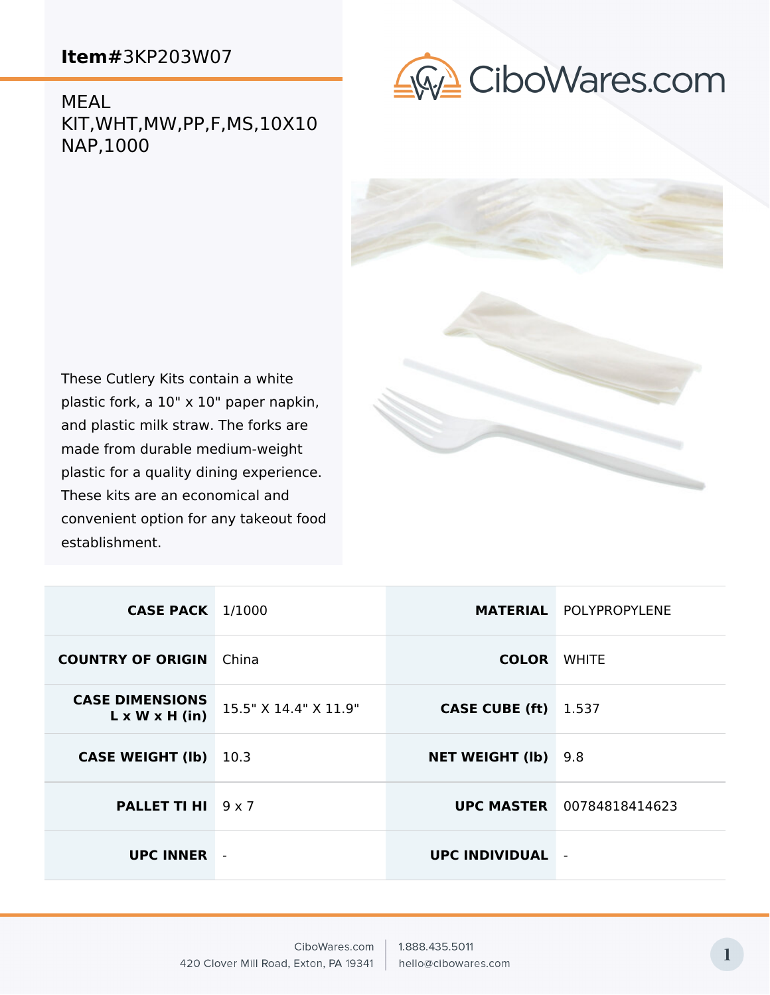establishment.

MEAL KIT,WHT,MW,PP,F,MS,10X10 NAP,1000





| <b>CASE PACK</b> 1/1000                              |                       |                            | <b>MATERIAL POLYPROPYLENE</b>    |
|------------------------------------------------------|-----------------------|----------------------------|----------------------------------|
| <b>COUNTRY OF ORIGIN</b>                             | China                 | <b>COLOR WHITE</b>         |                                  |
| <b>CASE DIMENSIONS</b><br>$L \times W \times H$ (in) | 15.5" X 14.4" X 11.9" | <b>CASE CUBE (ft)</b>      | 1.537                            |
| <b>CASE WEIGHT (Ib)</b>                              | 10.3                  | <b>NET WEIGHT (Ib)</b> 9.8 |                                  |
| <b>PALLET TI HI</b> 9 x 7                            |                       |                            | <b>UPC MASTER</b> 00784818414623 |
| <b>UPC INNER</b>                                     |                       | <b>UPC INDIVIDUAL</b>      | ٠                                |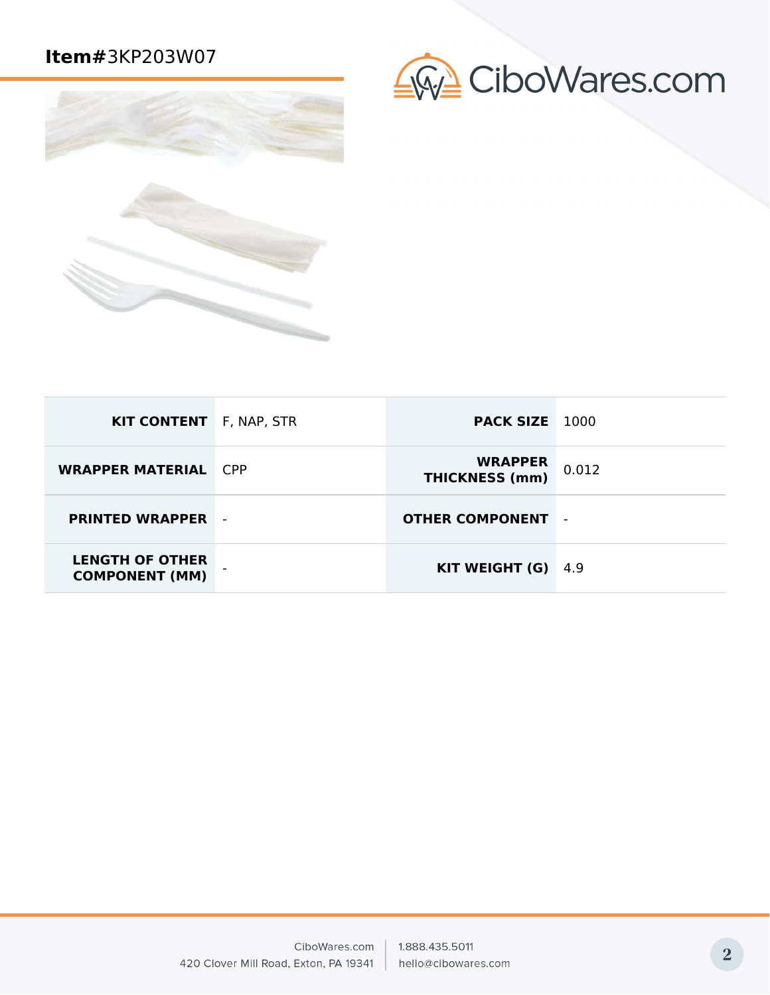



| <b>KIT CONTENT</b> F, NAP, STR                  | <b>PACK SIZE</b> 1000                   |        |
|-------------------------------------------------|-----------------------------------------|--------|
| <b>WRAPPER MATERIAL CPP</b>                     | <b>WRAPPER</b><br><b>THICKNESS (mm)</b> | 0.012  |
| <b>PRINTED WRAPPER</b>                          | <b>OTHER COMPONENT</b>                  | $\sim$ |
| <b>LENGTH OF OTHER</b><br><b>COMPONENT (MM)</b> | KIT WEIGHT (G)                          | -4.9   |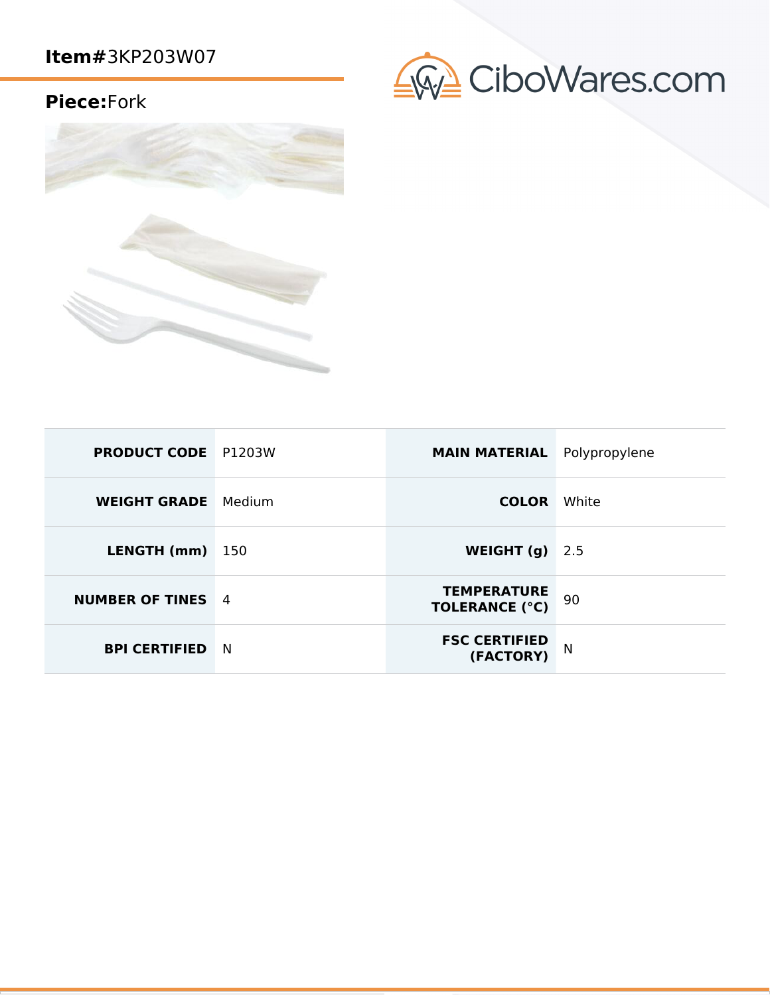## **Piece:**Fork





| <b>PRODUCT CODE</b> P1203W |      | <b>MAIN MATERIAL</b> Polypropylene          |       |
|----------------------------|------|---------------------------------------------|-------|
| <b>WEIGHT GRADE</b> Medium |      | <b>COLOR</b>                                | White |
| LENGTH (mm)                | -150 | WEIGHT (g)                                  | 2.5   |
| <b>NUMBER OF TINES</b> 4   |      | <b>TEMPERATURE</b><br><b>TOLERANCE (°C)</b> | 90    |
| <b>BPI CERTIFIED</b>       | N    | <b>FSC CERTIFIED</b><br>(FACTORY)           | N     |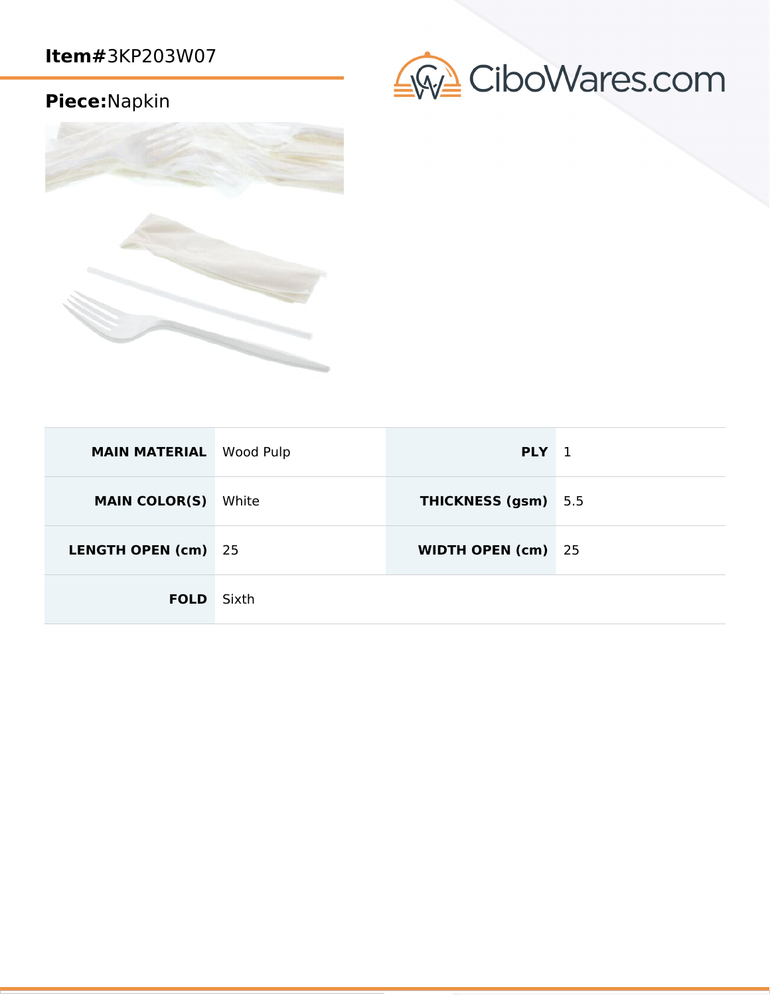# **Piece:**Napkin





| <b>MAIN MATERIAL</b> Wood Pulp |       | PLY <sub>1</sub>          |  |
|--------------------------------|-------|---------------------------|--|
| <b>MAIN COLOR(S)</b>           | White | THICKNESS (gsm) 5.5       |  |
| LENGTH OPEN (cm) 25            |       | <b>WIDTH OPEN (cm)</b> 25 |  |
| <b>FOLD</b> Sixth              |       |                           |  |